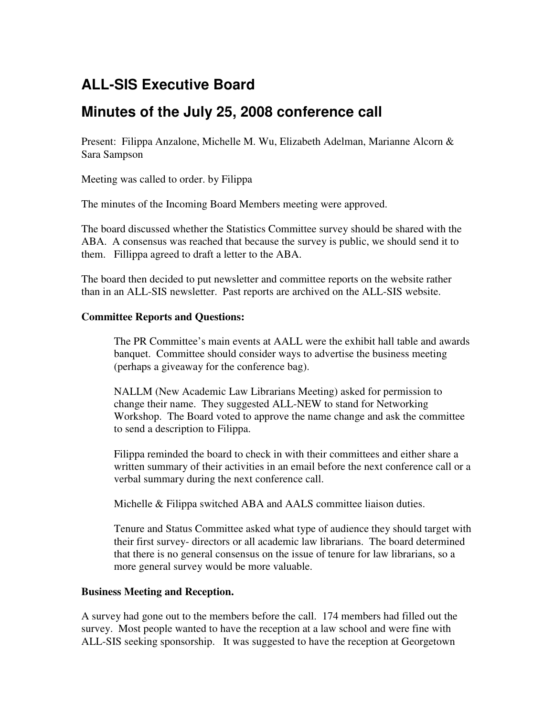## **ALL-SIS Executive Board**

## **Minutes of the July 25, 2008 conference call**

Present: Filippa Anzalone, Michelle M. Wu, Elizabeth Adelman, Marianne Alcorn & Sara Sampson

Meeting was called to order. by Filippa

The minutes of the Incoming Board Members meeting were approved.

The board discussed whether the Statistics Committee survey should be shared with the ABA. A consensus was reached that because the survey is public, we should send it to them. Fillippa agreed to draft a letter to the ABA.

The board then decided to put newsletter and committee reports on the website rather than in an ALL-SIS newsletter. Past reports are archived on the ALL-SIS website.

## **Committee Reports and Questions:**

The PR Committee's main events at AALL were the exhibit hall table and awards banquet. Committee should consider ways to advertise the business meeting (perhaps a giveaway for the conference bag).

NALLM (New Academic Law Librarians Meeting) asked for permission to change their name. They suggested ALL-NEW to stand for Networking Workshop. The Board voted to approve the name change and ask the committee to send a description to Filippa.

Filippa reminded the board to check in with their committees and either share a written summary of their activities in an email before the next conference call or a verbal summary during the next conference call.

Michelle & Filippa switched ABA and AALS committee liaison duties.

Tenure and Status Committee asked what type of audience they should target with their first survey- directors or all academic law librarians. The board determined that there is no general consensus on the issue of tenure for law librarians, so a more general survey would be more valuable.

## **Business Meeting and Reception.**

A survey had gone out to the members before the call. 174 members had filled out the survey. Most people wanted to have the reception at a law school and were fine with ALL-SIS seeking sponsorship. It was suggested to have the reception at Georgetown